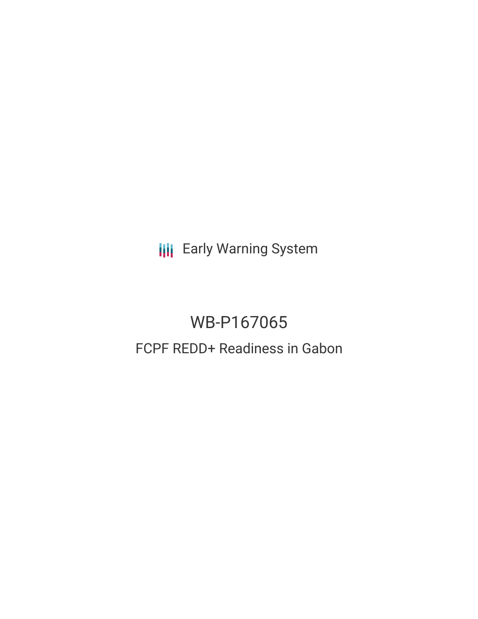**III** Early Warning System

# WB-P167065 FCPF REDD+ Readiness in Gabon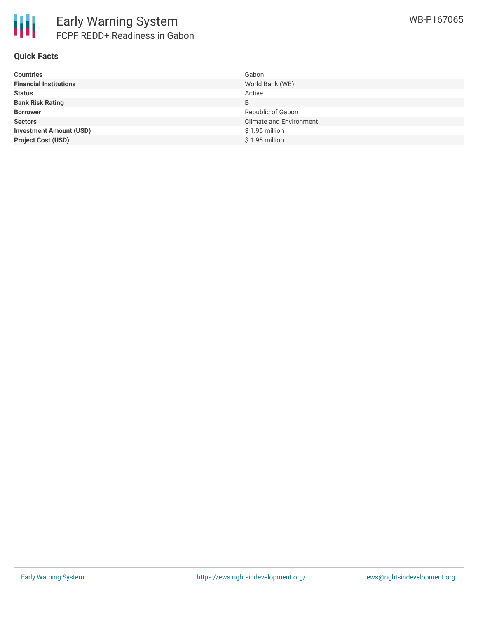

### **Quick Facts**

| <b>Countries</b>               | Gabon                          |
|--------------------------------|--------------------------------|
| <b>Financial Institutions</b>  | World Bank (WB)                |
| <b>Status</b>                  | Active                         |
| <b>Bank Risk Rating</b>        | B                              |
| <b>Borrower</b>                | Republic of Gabon              |
| <b>Sectors</b>                 | <b>Climate and Environment</b> |
| <b>Investment Amount (USD)</b> | $$1.95$ million                |
| <b>Project Cost (USD)</b>      | $$1.95$ million                |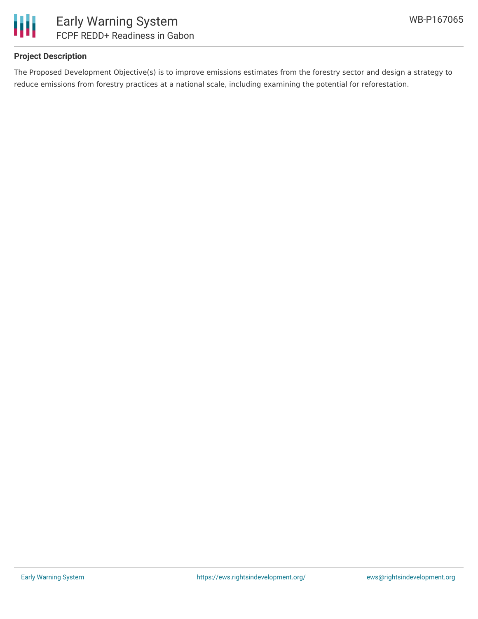

## **Project Description**

The Proposed Development Objective(s) is to improve emissions estimates from the forestry sector and design a strategy to reduce emissions from forestry practices at a national scale, including examining the potential for reforestation.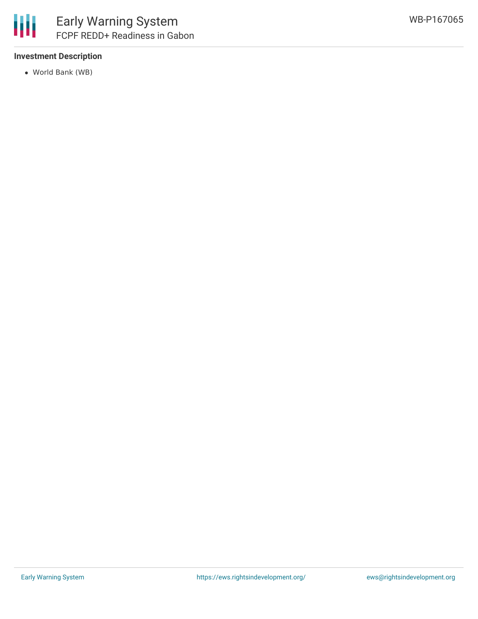

## **Investment Description**

World Bank (WB)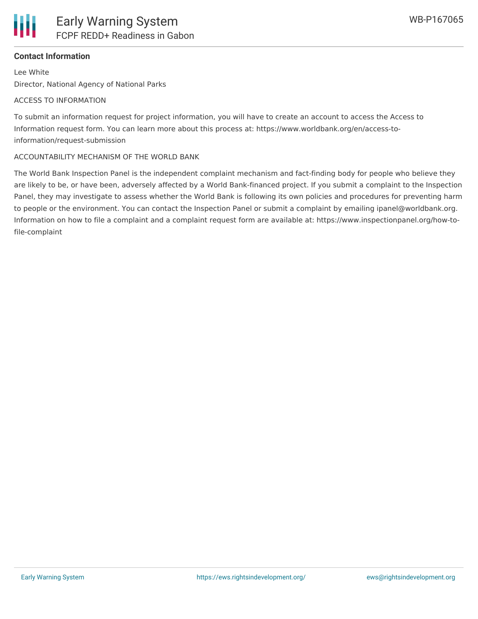## **Contact Information**

Lee White Director, National Agency of National Parks

#### ACCESS TO INFORMATION

To submit an information request for project information, you will have to create an account to access the Access to Information request form. You can learn more about this process at: https://www.worldbank.org/en/access-toinformation/request-submission

#### ACCOUNTABILITY MECHANISM OF THE WORLD BANK

The World Bank Inspection Panel is the independent complaint mechanism and fact-finding body for people who believe they are likely to be, or have been, adversely affected by a World Bank-financed project. If you submit a complaint to the Inspection Panel, they may investigate to assess whether the World Bank is following its own policies and procedures for preventing harm to people or the environment. You can contact the Inspection Panel or submit a complaint by emailing ipanel@worldbank.org. Information on how to file a complaint and a complaint request form are available at: https://www.inspectionpanel.org/how-tofile-complaint